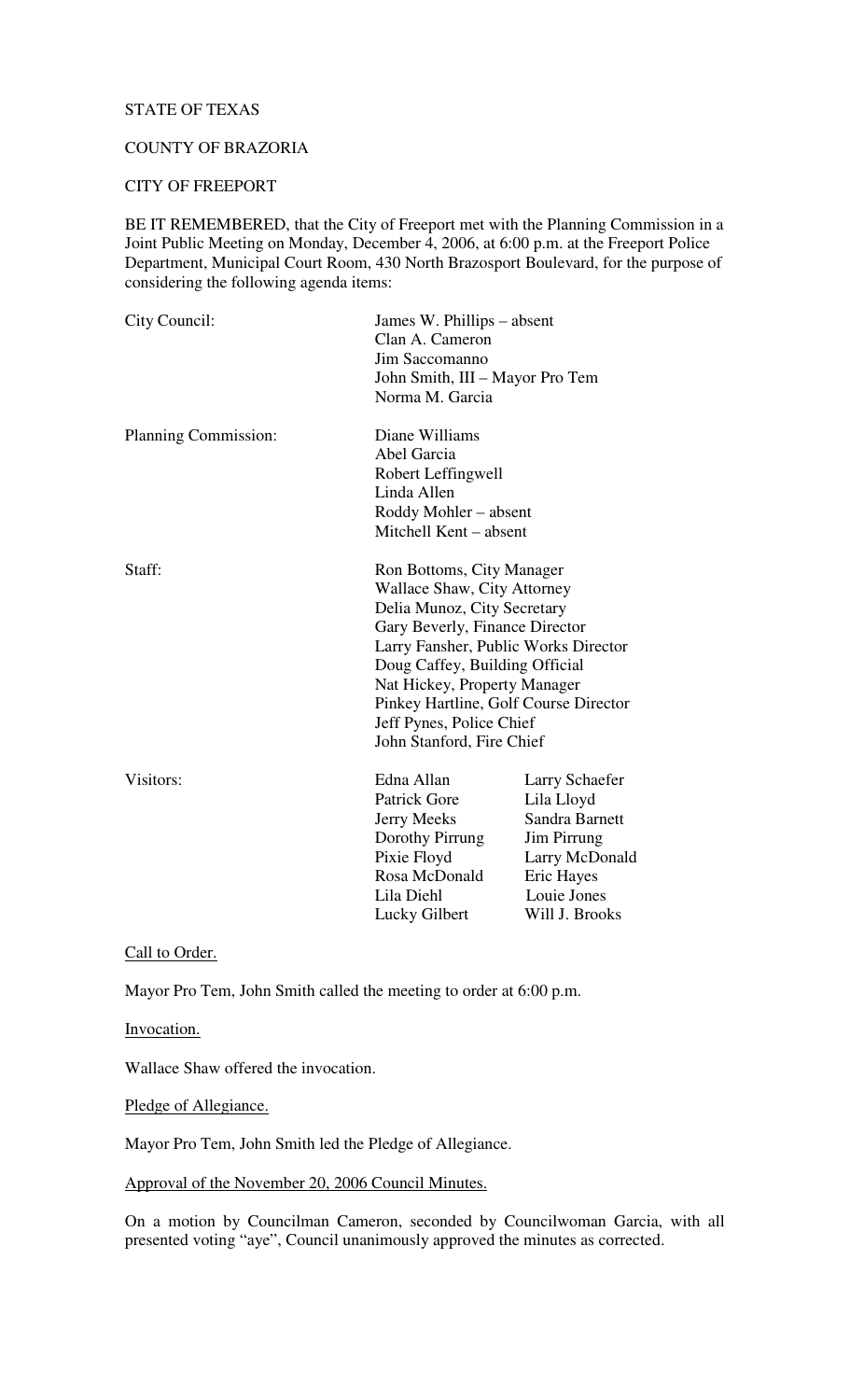# STATE OF TEXAS

# COUNTY OF BRAZORIA

#### CITY OF FREEPORT

BE IT REMEMBERED, that the City of Freeport met with the Planning Commission in a Joint Public Meeting on Monday, December 4, 2006, at 6:00 p.m. at the Freeport Police Department, Municipal Court Room, 430 North Brazosport Boulevard, for the purpose of considering the following agenda items:

| City Council:        | James W. Phillips – absent<br>Clan A. Cameron<br>Jim Saccomanno<br>John Smith, III - Mayor Pro Tem |                |
|----------------------|----------------------------------------------------------------------------------------------------|----------------|
|                      | Norma M. Garcia                                                                                    |                |
| Planning Commission: | Diane Williams                                                                                     |                |
|                      | Abel Garcia                                                                                        |                |
|                      | Robert Leffingwell                                                                                 |                |
|                      | Linda Allen                                                                                        |                |
|                      | Roddy Mohler – absent                                                                              |                |
|                      | Mitchell Kent - absent                                                                             |                |
| Staff:               | Ron Bottoms, City Manager                                                                          |                |
|                      | <b>Wallace Shaw, City Attorney</b>                                                                 |                |
|                      | Delia Munoz, City Secretary                                                                        |                |
|                      | Gary Beverly, Finance Director                                                                     |                |
|                      | Larry Fansher, Public Works Director                                                               |                |
|                      | Doug Caffey, Building Official                                                                     |                |
|                      | Nat Hickey, Property Manager                                                                       |                |
|                      | Pinkey Hartline, Golf Course Director                                                              |                |
|                      | Jeff Pynes, Police Chief                                                                           |                |
|                      | John Stanford, Fire Chief                                                                          |                |
| Visitors:            | Edna Allan                                                                                         | Larry Schaefer |
|                      | Patrick Gore                                                                                       | Lila Lloyd     |
|                      | <b>Jerry Meeks</b>                                                                                 | Sandra Barnett |
|                      | Dorothy Pirrung                                                                                    | Jim Pirrung    |
|                      | Pixie Floyd                                                                                        | Larry McDonald |
|                      | Rosa McDonald                                                                                      | Eric Hayes     |
|                      | Lila Diehl                                                                                         | Louie Jones    |
|                      | Lucky Gilbert                                                                                      | Will J. Brooks |

Call to Order.

Mayor Pro Tem, John Smith called the meeting to order at 6:00 p.m.

Invocation.

Wallace Shaw offered the invocation.

Pledge of Allegiance.

Mayor Pro Tem, John Smith led the Pledge of Allegiance.

## Approval of the November 20, 2006 Council Minutes.

On a motion by Councilman Cameron, seconded by Councilwoman Garcia, with all presented voting "aye", Council unanimously approved the minutes as corrected.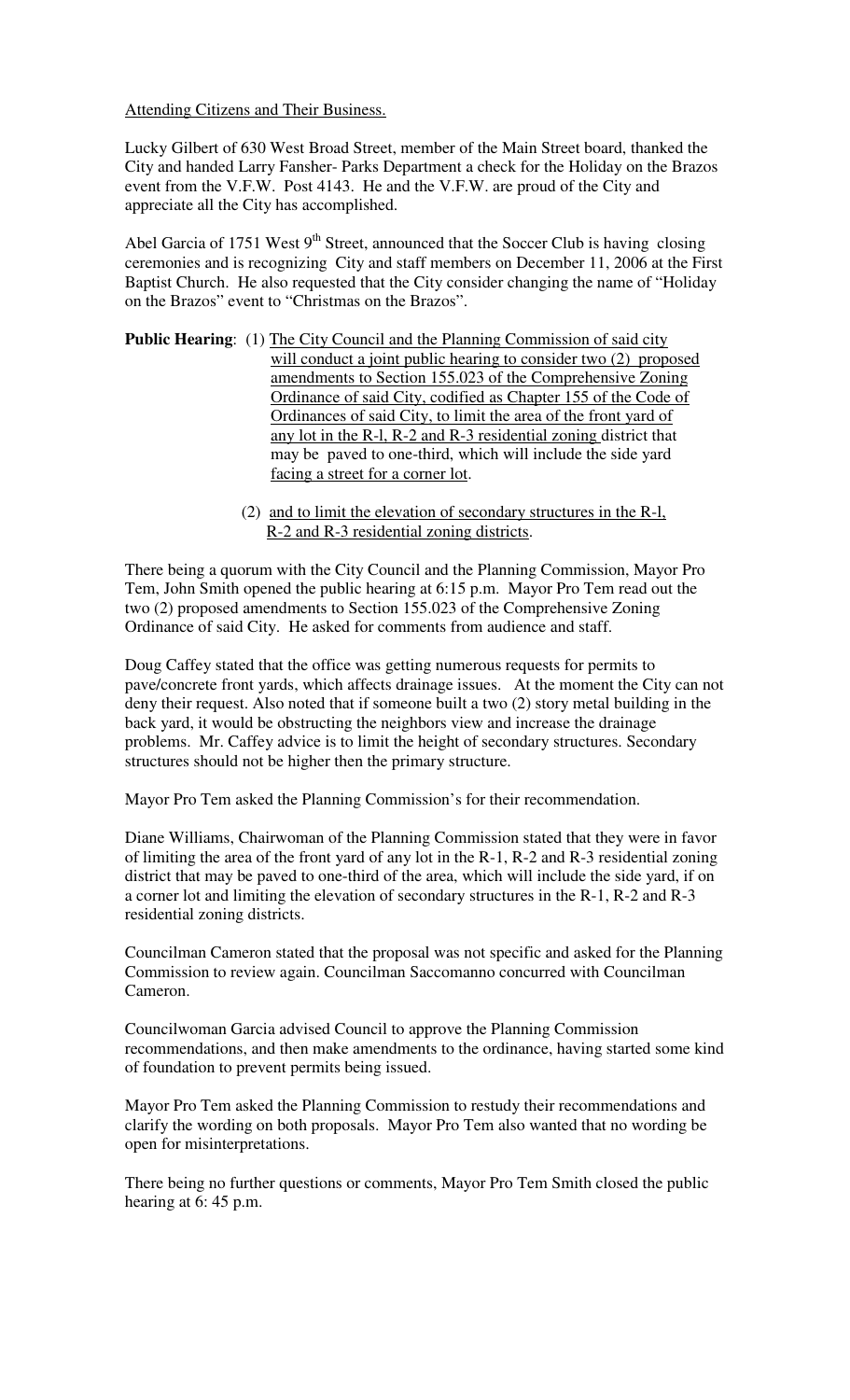Attending Citizens and Their Business.

Lucky Gilbert of 630 West Broad Street, member of the Main Street board, thanked the City and handed Larry Fansher- Parks Department a check for the Holiday on the Brazos event from the V.F.W. Post 4143. He and the V.F.W. are proud of the City and appreciate all the City has accomplished.

Abel Garcia of 1751 West 9<sup>th</sup> Street, announced that the Soccer Club is having closing ceremonies and is recognizing City and staff members on December 11, 2006 at the First Baptist Church. He also requested that the City consider changing the name of "Holiday on the Brazos" event to "Christmas on the Brazos".

- **Public Hearing:** (1) The City Council and the Planning Commission of said city will conduct a joint public hearing to consider two  $(2)$  proposed amendments to Section 155.023 of the Comprehensive Zoning Ordinance of said City, codified as Chapter 155 of the Code of Ordinances of said City, to limit the area of the front yard of any lot in the R-l, R-2 and R-3 residential zoning district that may be paved to one-third, which will include the side yard facing a street for a corner lot.
	- (2) and to limit the elevation of secondary structures in the R-l, R-2 and R-3 residential zoning districts.

There being a quorum with the City Council and the Planning Commission, Mayor Pro Tem, John Smith opened the public hearing at 6:15 p.m. Mayor Pro Tem read out the two (2) proposed amendments to Section 155.023 of the Comprehensive Zoning Ordinance of said City. He asked for comments from audience and staff.

Doug Caffey stated that the office was getting numerous requests for permits to pave/concrete front yards, which affects drainage issues. At the moment the City can not deny their request. Also noted that if someone built a two (2) story metal building in the back yard, it would be obstructing the neighbors view and increase the drainage problems. Mr. Caffey advice is to limit the height of secondary structures. Secondary structures should not be higher then the primary structure.

Mayor Pro Tem asked the Planning Commission's for their recommendation.

Diane Williams, Chairwoman of the Planning Commission stated that they were in favor of limiting the area of the front yard of any lot in the R-1, R-2 and R-3 residential zoning district that may be paved to one-third of the area, which will include the side yard, if on a corner lot and limiting the elevation of secondary structures in the R-1, R-2 and R-3 residential zoning districts.

Councilman Cameron stated that the proposal was not specific and asked for the Planning Commission to review again. Councilman Saccomanno concurred with Councilman Cameron.

Councilwoman Garcia advised Council to approve the Planning Commission recommendations, and then make amendments to the ordinance, having started some kind of foundation to prevent permits being issued.

Mayor Pro Tem asked the Planning Commission to restudy their recommendations and clarify the wording on both proposals. Mayor Pro Tem also wanted that no wording be open for misinterpretations.

There being no further questions or comments, Mayor Pro Tem Smith closed the public hearing at 6: 45 p.m.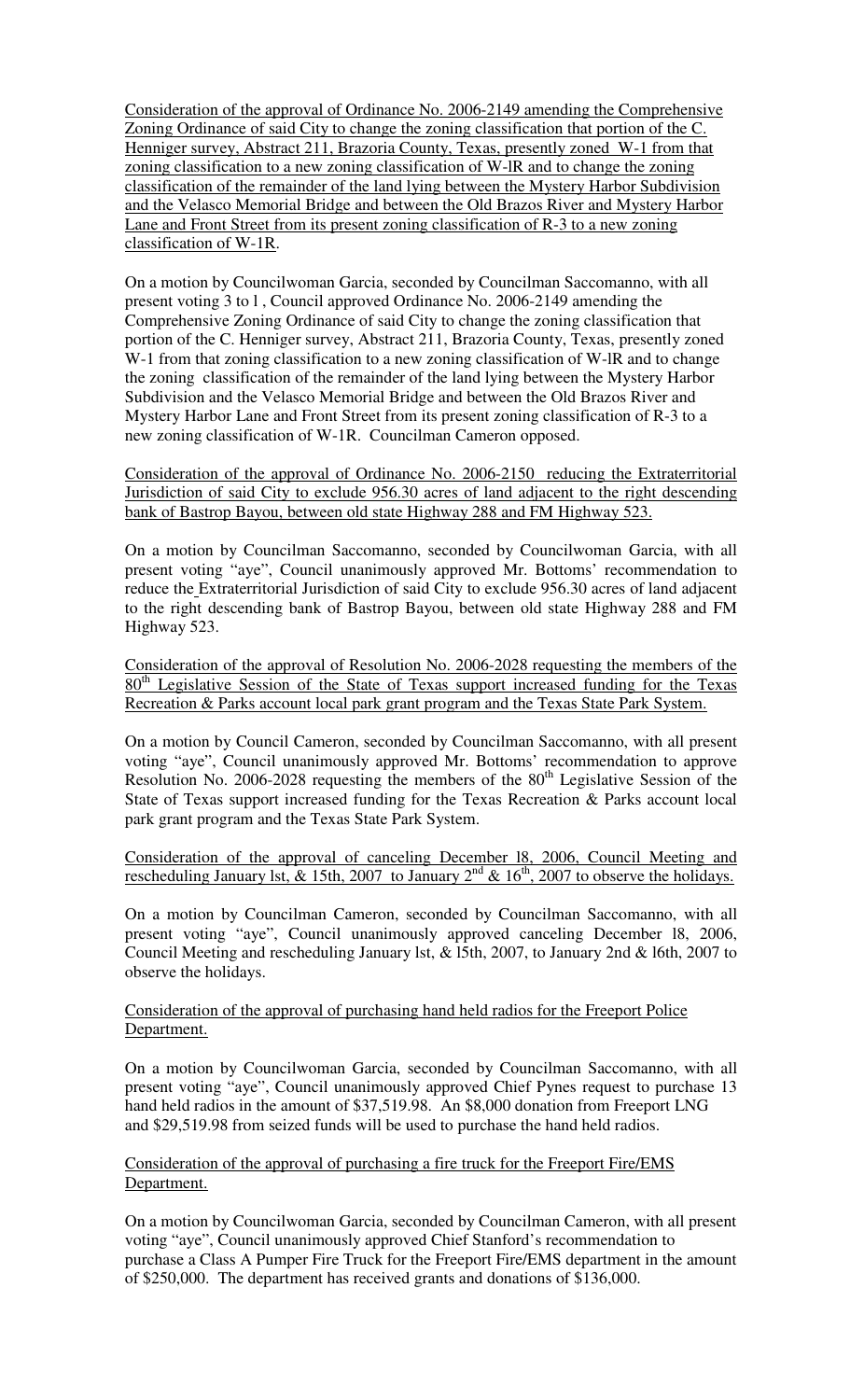Consideration of the approval of Ordinance No. 2006-2149 amending the Comprehensive Zoning Ordinance of said City to change the zoning classification that portion of the C. Henniger survey, Abstract 211, Brazoria County, Texas, presently zoned W-1 from that zoning classification to a new zoning classification of W-lR and to change the zoning classification of the remainder of the land lying between the Mystery Harbor Subdivision and the Velasco Memorial Bridge and between the Old Brazos River and Mystery Harbor Lane and Front Street from its present zoning classification of R-3 to a new zoning classification of W-1R.

On a motion by Councilwoman Garcia, seconded by Councilman Saccomanno, with all present voting 3 to l , Council approved Ordinance No. 2006-2149 amending the Comprehensive Zoning Ordinance of said City to change the zoning classification that portion of the C. Henniger survey, Abstract 211, Brazoria County, Texas, presently zoned W-1 from that zoning classification to a new zoning classification of W-lR and to change the zoning classification of the remainder of the land lying between the Mystery Harbor Subdivision and the Velasco Memorial Bridge and between the Old Brazos River and Mystery Harbor Lane and Front Street from its present zoning classification of R-3 to a new zoning classification of W-1R. Councilman Cameron opposed.

Consideration of the approval of Ordinance No. 2006-2150 reducing the Extraterritorial Jurisdiction of said City to exclude 956.30 acres of land adjacent to the right descending bank of Bastrop Bayou, between old state Highway 288 and FM Highway 523.

On a motion by Councilman Saccomanno, seconded by Councilwoman Garcia, with all present voting "aye", Council unanimously approved Mr. Bottoms' recommendation to reduce the Extraterritorial Jurisdiction of said City to exclude 956.30 acres of land adjacent to the right descending bank of Bastrop Bayou, between old state Highway 288 and FM Highway 523.

Consideration of the approval of Resolution No. 2006-2028 requesting the members of the 80<sup>th</sup> Legislative Session of the State of Texas support increased funding for the Texas Recreation & Parks account local park grant program and the Texas State Park System.

On a motion by Council Cameron, seconded by Councilman Saccomanno, with all present voting "aye", Council unanimously approved Mr. Bottoms' recommendation to approve Resolution No. 2006-2028 requesting the members of the 80<sup>th</sup> Legislative Session of the State of Texas support increased funding for the Texas Recreation & Parks account local park grant program and the Texas State Park System.

Consideration of the approval of canceling December l8, 2006, Council Meeting and rescheduling January 1st,  $\&$  15th, 2007 to January 2<sup>nd</sup>  $\&$  16<sup>th</sup>, 2007 to observe the holidays.

On a motion by Councilman Cameron, seconded by Councilman Saccomanno, with all present voting "aye", Council unanimously approved canceling December l8, 2006, Council Meeting and rescheduling January lst, & l5th, 2007, to January 2nd & l6th, 2007 to observe the holidays.

## Consideration of the approval of purchasing hand held radios for the Freeport Police Department.

On a motion by Councilwoman Garcia, seconded by Councilman Saccomanno, with all present voting "aye", Council unanimously approved Chief Pynes request to purchase 13 hand held radios in the amount of \$37,519.98. An \$8,000 donation from Freeport LNG and \$29,519.98 from seized funds will be used to purchase the hand held radios.

Consideration of the approval of purchasing a fire truck for the Freeport Fire/EMS Department.

On a motion by Councilwoman Garcia, seconded by Councilman Cameron, with all present voting "aye", Council unanimously approved Chief Stanford's recommendation to purchase a Class A Pumper Fire Truck for the Freeport Fire/EMS department in the amount of \$250,000. The department has received grants and donations of \$136,000.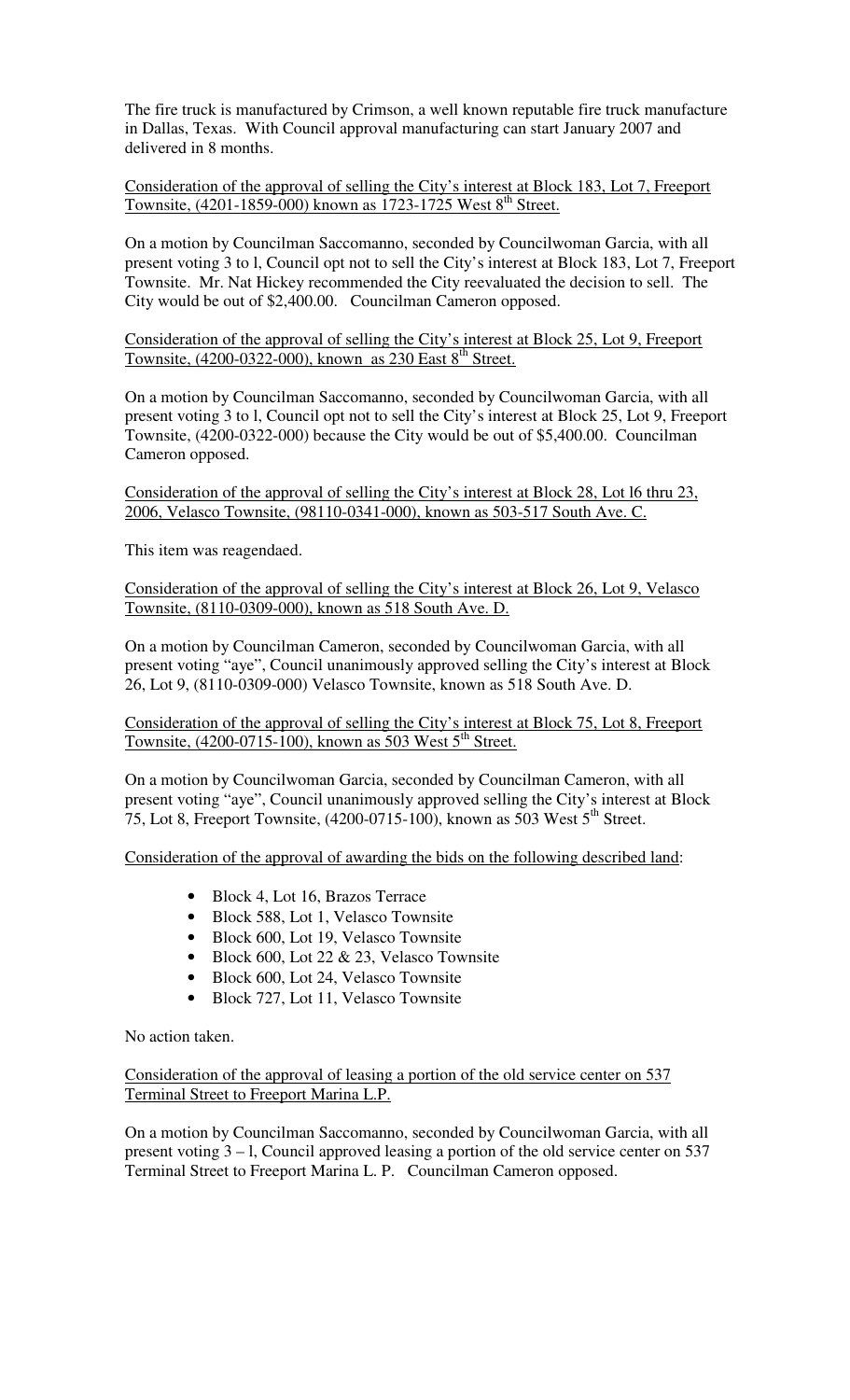The fire truck is manufactured by Crimson, a well known reputable fire truck manufacture in Dallas, Texas. With Council approval manufacturing can start January 2007 and delivered in 8 months.

Consideration of the approval of selling the City's interest at Block 183, Lot 7, Freeport Townsite, (4201-1859-000) known as 1723-1725 West 8<sup>th</sup> Street.

On a motion by Councilman Saccomanno, seconded by Councilwoman Garcia, with all present voting 3 to l, Council opt not to sell the City's interest at Block 183, Lot 7, Freeport Townsite. Mr. Nat Hickey recommended the City reevaluated the decision to sell. The City would be out of \$2,400.00. Councilman Cameron opposed.

Consideration of the approval of selling the City's interest at Block 25, Lot 9, Freeport Townsite, (4200-0322-000), known as 230 East 8<sup>th</sup> Street.

On a motion by Councilman Saccomanno, seconded by Councilwoman Garcia, with all present voting 3 to l, Council opt not to sell the City's interest at Block 25, Lot 9, Freeport Townsite, (4200-0322-000) because the City would be out of \$5,400.00. Councilman Cameron opposed.

Consideration of the approval of selling the City's interest at Block 28, Lot l6 thru 23, 2006, Velasco Townsite, (98110-0341-000), known as 503-517 South Ave. C.

This item was reagendaed.

Consideration of the approval of selling the City's interest at Block 26, Lot 9, Velasco Townsite, (8110-0309-000), known as 518 South Ave. D.

On a motion by Councilman Cameron, seconded by Councilwoman Garcia, with all present voting "aye", Council unanimously approved selling the City's interest at Block 26, Lot 9, (8110-0309-000) Velasco Townsite, known as 518 South Ave. D.

Consideration of the approval of selling the City's interest at Block 75, Lot 8, Freeport Townsite, (4200-0715-100), known as 503 West 5<sup>th</sup> Street.

On a motion by Councilwoman Garcia, seconded by Councilman Cameron, with all present voting "aye", Council unanimously approved selling the City's interest at Block 75, Lot 8, Freeport Townsite,  $(4200-0715-100)$ , known as 503 West 5<sup>th</sup> Street.

Consideration of the approval of awarding the bids on the following described land:

- Block 4, Lot 16, Brazos Terrace
- Block 588, Lot 1, Velasco Townsite
- Block 600, Lot 19, Velasco Townsite
- Block 600, Lot 22 & 23, Velasco Townsite
- Block 600, Lot 24, Velasco Townsite
- Block 727, Lot 11, Velasco Townsite

No action taken.

Consideration of the approval of leasing a portion of the old service center on 537 Terminal Street to Freeport Marina L.P.

On a motion by Councilman Saccomanno, seconded by Councilwoman Garcia, with all present voting 3 – l, Council approved leasing a portion of the old service center on 537 Terminal Street to Freeport Marina L. P. Councilman Cameron opposed.